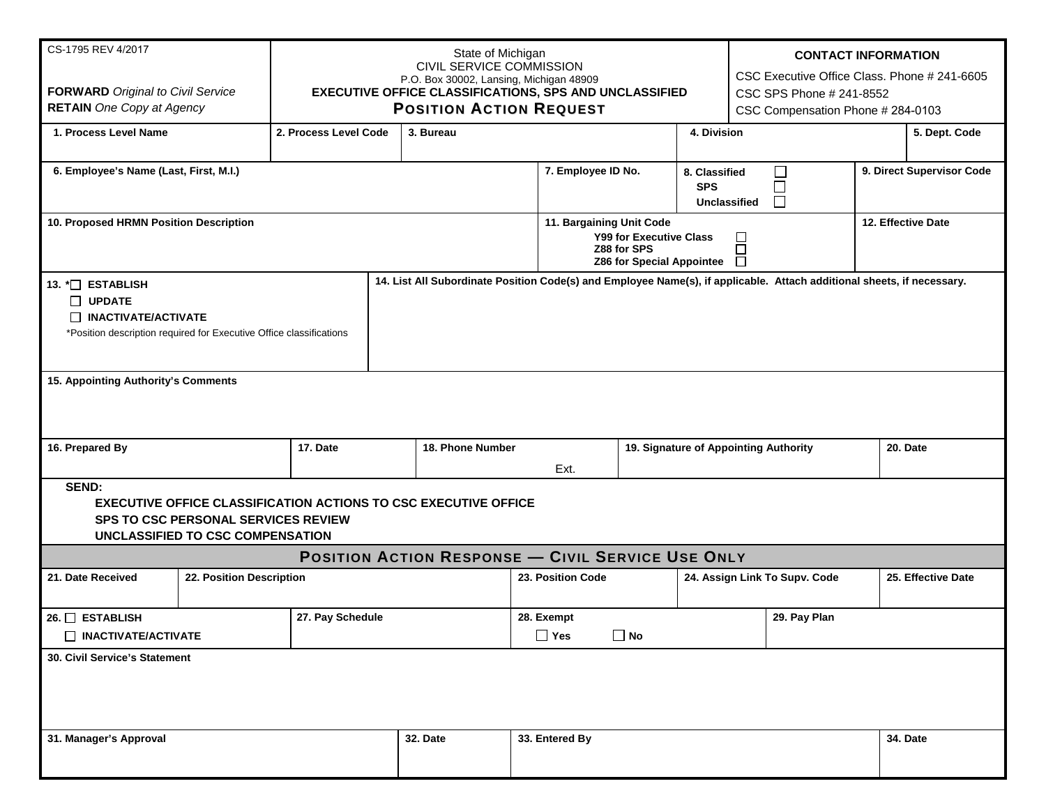| CS-1795 REV 4/2017                                                                                                                                                                                                                                               |                          | State of Michigan<br>CIVIL SERVICE COMMISSION |                                         |                                                        |                                                                            |                                                                                  | <b>CONTACT INFORMATION</b>            |                           |
|------------------------------------------------------------------------------------------------------------------------------------------------------------------------------------------------------------------------------------------------------------------|--------------------------|-----------------------------------------------|-----------------------------------------|--------------------------------------------------------|----------------------------------------------------------------------------|----------------------------------------------------------------------------------|---------------------------------------|---------------------------|
| <b>FORWARD</b> Original to Civil Service                                                                                                                                                                                                                         |                          |                                               | P.O. Box 30002, Lansing, Michigan 48909 | EXECUTIVE OFFICE CLASSIFICATIONS, SPS AND UNCLASSIFIED |                                                                            | CSC Executive Office Class, Phone # 241-6605                                     |                                       |                           |
| <b>RETAIN</b> One Copy at Agency                                                                                                                                                                                                                                 |                          |                                               | <b>POSITION ACTION REQUEST</b>          |                                                        |                                                                            | CSC SPS Phone # 241-8552<br>CSC Compensation Phone # 284-0103                    |                                       |                           |
| 1. Process Level Name                                                                                                                                                                                                                                            |                          | 2. Process Level Code<br>3. Bureau            |                                         |                                                        |                                                                            | 4. Division                                                                      |                                       | 5. Dept. Code             |
| 6. Employee's Name (Last, First, M.I.)                                                                                                                                                                                                                           |                          |                                               | 7. Employee ID No.                      |                                                        |                                                                            | $\Box$<br>8. Classified<br><b>SPS</b><br>$\Box$<br>$\Box$<br><b>Unclassified</b> |                                       | 9. Direct Supervisor Code |
| 10. Proposed HRMN Position Description                                                                                                                                                                                                                           |                          |                                               |                                         | 11. Bargaining Unit Code                               | <b>Y99 for Executive Class</b><br>Z88 for SPS<br>Z86 for Special Appointee | 12. Effective Date                                                               |                                       |                           |
| 14. List All Subordinate Position Code(s) and Employee Name(s), if applicable. Attach additional sheets, if necessary.<br>13. *□ ESTABLISH<br>$\Box$ UPDATE<br><b>INACTIVATE/ACTIVATE</b><br>*Position description required for Executive Office classifications |                          |                                               |                                         |                                                        |                                                                            |                                                                                  |                                       |                           |
| 15. Appointing Authority's Comments                                                                                                                                                                                                                              |                          |                                               |                                         |                                                        |                                                                            |                                                                                  |                                       |                           |
| 16. Prepared By                                                                                                                                                                                                                                                  |                          | 17. Date                                      | 18. Phone Number                        | Ext.                                                   |                                                                            |                                                                                  | 19. Signature of Appointing Authority | 20. Date                  |
| <b>SEND:</b><br><b>EXECUTIVE OFFICE CLASSIFICATION ACTIONS TO CSC EXECUTIVE OFFICE</b><br><b>SPS TO CSC PERSONAL SERVICES REVIEW</b><br>UNCLASSIFIED TO CSC COMPENSATION                                                                                         |                          |                                               |                                         |                                                        |                                                                            |                                                                                  |                                       |                           |
| <b>POSITION ACTION RESPONSE - CIVIL SERVICE USE ONLY</b>                                                                                                                                                                                                         |                          |                                               |                                         |                                                        |                                                                            |                                                                                  |                                       |                           |
| 21. Date Received                                                                                                                                                                                                                                                | 22. Position Description |                                               |                                         | 23. Position Code                                      |                                                                            | 24. Assign Link To Supv. Code                                                    |                                       | 25. Effective Date        |
| 26. □ ESTABLISH<br>27. Pay Schedule                                                                                                                                                                                                                              |                          |                                               |                                         | 28. Exempt                                             |                                                                            |                                                                                  | 29. Pay Plan                          |                           |
| □ INACTIVATE/ACTIVATE                                                                                                                                                                                                                                            |                          |                                               |                                         | $\square$ Yes                                          | $\Box$ No                                                                  |                                                                                  |                                       |                           |
| 30. Civil Service's Statement                                                                                                                                                                                                                                    |                          |                                               |                                         |                                                        |                                                                            |                                                                                  |                                       |                           |
| 31. Manager's Approval                                                                                                                                                                                                                                           |                          |                                               | 32. Date                                | 33. Entered By                                         |                                                                            |                                                                                  |                                       | 34. Date                  |